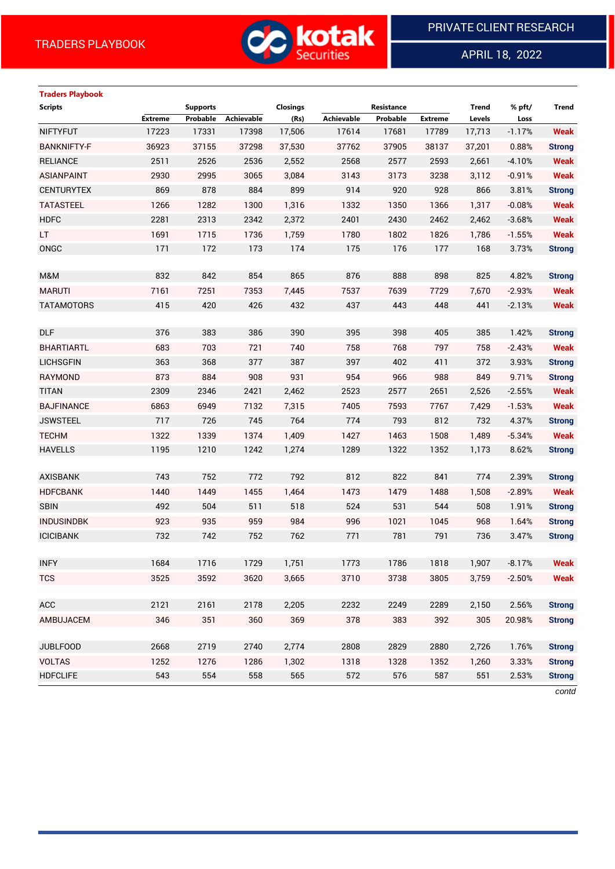

APRIL 18, 2022

 $\overline{a}$ 

# **Traders Playbook**

| <b>Scripts</b>     |                | <b>Supports</b> |            | <b>Closings</b> |                   | Resistance |                | <b>Trend</b> | % pft/   | Trend         |
|--------------------|----------------|-----------------|------------|-----------------|-------------------|------------|----------------|--------------|----------|---------------|
|                    | <b>Extreme</b> | Probable        | Achievable | (Rs)            | <b>Achievable</b> | Probable   | <b>Extreme</b> | Levels       | Loss     |               |
| <b>NIFTYFUT</b>    | 17223          | 17331           | 17398      | 17,506          | 17614             | 17681      | 17789          | 17,713       | $-1.17%$ | <b>Weak</b>   |
| <b>BANKNIFTY-F</b> | 36923          | 37155           | 37298      | 37,530          | 37762             | 37905      | 38137          | 37,201       | 0.88%    | <b>Strong</b> |
| <b>RELIANCE</b>    | 2511           | 2526            | 2536       | 2,552           | 2568              | 2577       | 2593           | 2,661        | $-4.10%$ | <b>Weak</b>   |
| <b>ASIANPAINT</b>  | 2930           | 2995            | 3065       | 3,084           | 3143              | 3173       | 3238           | 3,112        | $-0.91%$ | <b>Weak</b>   |
| <b>CENTURYTEX</b>  | 869            | 878             | 884        | 899             | 914               | 920        | 928            | 866          | 3.81%    | <b>Strong</b> |
| <b>TATASTEEL</b>   | 1266           | 1282            | 1300       | 1,316           | 1332              | 1350       | 1366           | 1,317        | $-0.08%$ | <b>Weak</b>   |
| <b>HDFC</b>        | 2281           | 2313            | 2342       | 2,372           | 2401              | 2430       | 2462           | 2,462        | $-3.68%$ | <b>Weak</b>   |
| LT.                | 1691           | 1715            | 1736       | 1,759           | 1780              | 1802       | 1826           | 1,786        | $-1.55%$ | <b>Weak</b>   |
| ONGC               | 171            | 172             | 173        | 174             | 175               | 176        | 177            | 168          | 3.73%    | <b>Strong</b> |
|                    |                |                 |            |                 |                   |            |                |              |          |               |
| M&M                | 832            | 842             | 854        | 865             | 876               | 888        | 898            | 825          | 4.82%    | <b>Strong</b> |
| <b>MARUTI</b>      | 7161           | 7251            | 7353       | 7,445           | 7537              | 7639       | 7729           | 7,670        | $-2.93%$ | <b>Weak</b>   |
| <b>TATAMOTORS</b>  | 415            | 420             | 426        | 432             | 437               | 443        | 448            | 441          | $-2.13%$ | <b>Weak</b>   |
|                    |                |                 |            |                 |                   |            |                |              |          |               |
| <b>DLF</b>         | 376            | 383             | 386        | 390             | 395               | 398        | 405            | 385          | 1.42%    | <b>Strong</b> |
| <b>BHARTIARTL</b>  | 683            | 703             | 721        | 740             | 758               | 768        | 797            | 758          | $-2.43%$ | <b>Weak</b>   |
| <b>LICHSGFIN</b>   | 363            | 368             | 377        | 387             | 397               | 402        | 411            | 372          | 3.93%    | <b>Strong</b> |
| <b>RAYMOND</b>     | 873            | 884             | 908        | 931             | 954               | 966        | 988            | 849          | 9.71%    | <b>Strong</b> |
| <b>TITAN</b>       | 2309           | 2346            | 2421       | 2,462           | 2523              | 2577       | 2651           | 2,526        | $-2.55%$ | <b>Weak</b>   |
| <b>BAJFINANCE</b>  | 6863           | 6949            | 7132       | 7,315           | 7405              | 7593       | 7767           | 7,429        | $-1.53%$ | <b>Weak</b>   |
| <b>JSWSTEEL</b>    | 717            | 726             | 745        | 764             | 774               | 793        | 812            | 732          | 4.37%    | <b>Strong</b> |
| <b>TECHM</b>       | 1322           | 1339            | 1374       | 1,409           | 1427              | 1463       | 1508           | 1,489        | $-5.34%$ | <b>Weak</b>   |
| <b>HAVELLS</b>     | 1195           | 1210            | 1242       | 1,274           | 1289              | 1322       | 1352           | 1,173        | 8.62%    | <b>Strong</b> |
|                    |                |                 |            |                 |                   |            |                |              |          |               |
| <b>AXISBANK</b>    | 743            | 752             | 772        | 792             | 812               | 822        | 841            | 774          | 2.39%    | <b>Strong</b> |
| <b>HDFCBANK</b>    | 1440           | 1449            | 1455       | 1,464           | 1473              | 1479       | 1488           | 1,508        | $-2.89%$ | <b>Weak</b>   |
| <b>SBIN</b>        | 492            | 504             | 511        | 518             | 524               | 531        | 544            | 508          | 1.91%    | <b>Strong</b> |
| <b>INDUSINDBK</b>  | 923            | 935             | 959        | 984             | 996               | 1021       | 1045           | 968          | 1.64%    | <b>Strong</b> |
| <b>ICICIBANK</b>   | 732            | 742             | 752        | 762             | 771               | 781        | 791            | 736          | 3.47%    | <b>Strong</b> |
|                    |                |                 |            |                 |                   |            |                |              |          |               |
| <b>INFY</b>        | 1684           | 1716            | 1729       | 1,751           | 1773              | 1786       | 1818           | 1,907        | $-8.17%$ | <b>Weak</b>   |
| <b>TCS</b>         | 3525           | 3592            | 3620       | 3,665           | 3710              | 3738       | 3805           | 3,759        | $-2.50%$ | <b>Weak</b>   |
|                    |                |                 |            |                 |                   |            |                |              |          |               |
| ACC                | 2121           | 2161            | 2178       | 2,205           | 2232              | 2249       | 2289           | 2,150        | 2.56%    | <b>Strong</b> |
| AMBUJACEM          | 346            | 351             | 360        | 369             | 378               | 383        | 392            | 305          | 20.98%   | <b>Strong</b> |
|                    |                |                 |            |                 |                   |            |                |              |          |               |
| <b>JUBLFOOD</b>    | 2668           | 2719            | 2740       | 2,774           | 2808              | 2829       | 2880           | 2,726        | 1.76%    | <b>Strong</b> |
| <b>VOLTAS</b>      | 1252           | 1276            | 1286       | 1,302           | 1318              | 1328       | 1352           | 1,260        | 3.33%    | <b>Strong</b> |
| <b>HDFCLIFE</b>    | 543            | 554             | 558        | 565             | 572               | 576        | 587            | 551          | 2.53%    | <b>Strong</b> |
|                    |                |                 |            |                 |                   |            |                |              |          |               |

*contd*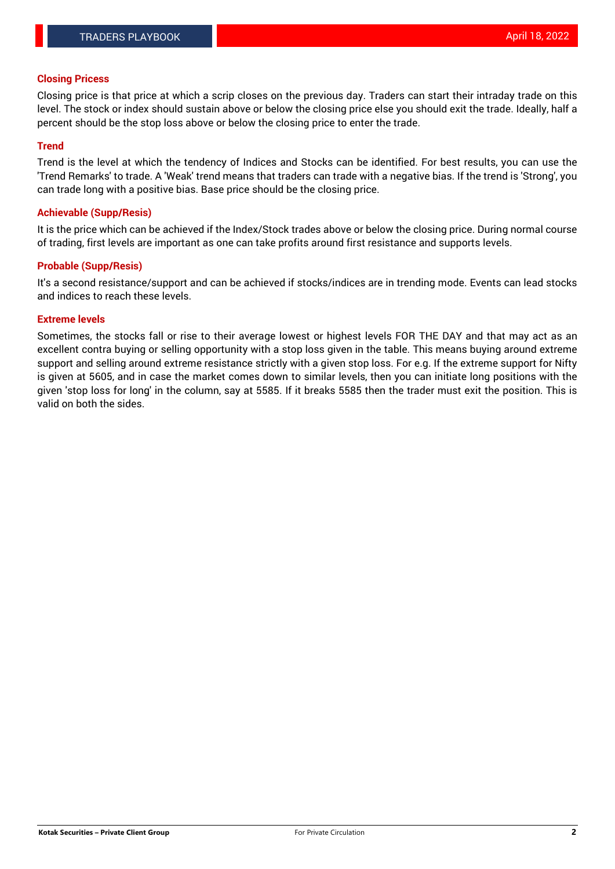### **Closing Pricess**

Closing price is that price at which a scrip closes on the previous day. Traders can start their intraday trade on this level. The stock or index should sustain above or below the closing price else you should exit the trade. Ideally, half a percent should be the stop loss above or below the closing price to enter the trade.

## **Trend**

Trend is the level at which the tendency of Indices and Stocks can be identified. For best results, you can use the 'Trend Remarks' to trade. A 'Weak' trend means that traders can trade with a negative bias. If the trend is 'Strong', you can trade long with a positive bias. Base price should be the closing price.

### **Achievable (Supp/Resis)**

It is the price which can be achieved if the Index/Stock trades above or below the closing price. During normal course of trading, first levels are important as one can take profits around first resistance and supports levels.

## **Probable (Supp/Resis)**

It's a second resistance/support and can be achieved if stocks/indices are in trending mode. Events can lead stocks and indices to reach these levels.

#### **Extreme levels**

Sometimes, the stocks fall or rise to their average lowest or highest levels FOR THE DAY and that may act as an excellent contra buying or selling opportunity with a stop loss given in the table. This means buying around extreme support and selling around extreme resistance strictly with a given stop loss. For e.g. If the extreme support for Nifty is given at 5605, and in case the market comes down to similar levels, then you can initiate long positions with the given 'stop loss for long' in the column, say at 5585. If it breaks 5585 then the trader must exit the position. This is valid on both the sides.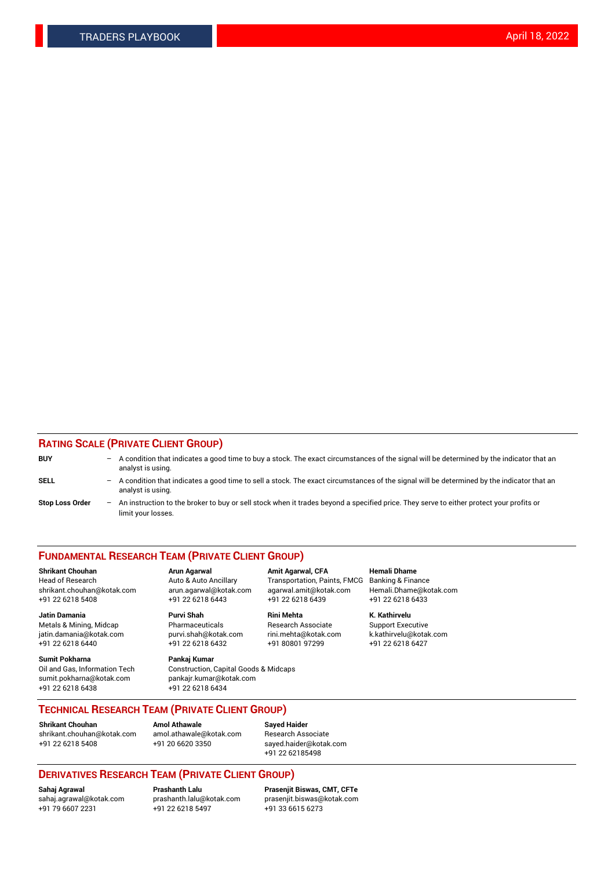## **RATING SCALE (PRIVATE CLIENT GROUP)**

| <b>BUY</b>             | -                 | A condition that indicates a good time to buy a stock. The exact circumstances of the signal will be determined by the indicator that an<br>analyst is using.  |
|------------------------|-------------------|----------------------------------------------------------------------------------------------------------------------------------------------------------------|
| SELL                   | $\qquad \qquad -$ | A condition that indicates a good time to sell a stock. The exact circumstances of the signal will be determined by the indicator that an<br>analyst is using. |
| <b>Stop Loss Order</b> | $\qquad \qquad -$ | An instruction to the broker to buy or sell stock when it trades beyond a specified price. They serve to either protect your profits or<br>limit your losses.  |

#### **FUNDAMENTAL RESEARCH TEAM (PRIVATE CLIENT GROUP)**

**Shrikant Chouhan Arun Agarwal Amit Agarwal, CFA Hemali Dhame** Head of Research Auto & Auto Ancillary Transportation, Paints, FMCG Banking & Finance shrikant.chouhan@kotak.com arun.agarwal@kotak.com agarwal.amit@kotak.com Hemali.Dhame@kotak.com

**Jatin Damania Purvi Shah Rini Mehta K. Kathirvelu** Metals & Mining, Midcap **Pharmaceuticals** Research Associate Support Executive jatin.damania@kotak.com [purvi.shah@kotak.com](mailto:purvi.shah@kotak.com) rini.mehta@kotak.com [k.kathirvelu@kotak.com](mailto:k.kathirvelu@kotak.com)  $+91$  22 6218 6440  $+91$  22 6218 6432

**Sumit Pokharna Pankaj Kumar** sumit.pokharna@kotak.com pankajr.kumar@kotak.com +91 22 6218 6438 +91 22 6218 6434

Oil and Gas, Information Tech Construction, Capital Goods & Midcaps

+91 22 6218 5408 +91 22 6218 6443 +91 22 6218 6439 +91 22 6218 6433

**TECHNICAL RESEARCH TEAM (PRIVATE CLIENT GROUP)**

**Shrikant Chouhan Amol Athawale Sayed Haider** [shrikant.chouhan@kotak.com](mailto:shrikant.chouhan@kotak.com) [amol.athawale@kotak.com](mailto:amol.athawale@kotak.com) Research Associate +91 22 6218 5408 +91 20 6620 3350 [sayed.haider@kotak.com](mailto:sayed.haider@kotak.com)

+91 22 62185498

# **DERIVATIVES RESEARCH TEAM (PRIVATE CLIENT GROUP)**

 $+91$  22 6218 5497

**Sahaj Agrawal Prashanth Lalu Prasenjit Biswas, CMT, CFTe** [sahaj.agrawal@kotak.com](mailto:sahaj.agrawal@kotak.com) [prashanth.lalu@kotak.com](mailto:prashanth.lalu@kotak.com) [prasenjit.biswas@kotak.com](mailto:prasenjit.biswas@kotak.com)